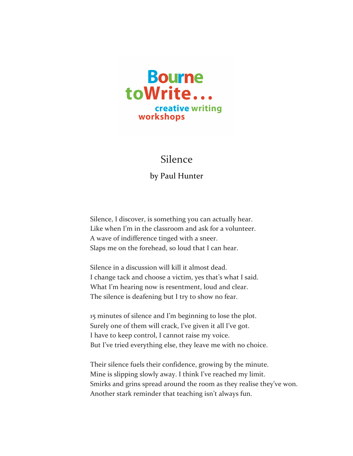

## **Silence**

by Paul Hunter

Silence, I discover, is something you can actually hear. Like when I'm in the classroom and ask for a volunteer. A wave of indifference tinged with a sneer. Slaps me on the forehead, so loud that I can hear.

Silence in a discussion will kill it almost dead. I change tack and choose a victim, yes that's what I said. What I'm hearing now is resentment, loud and clear. The silence is deafening but I try to show no fear.

15 minutes of silence and I'm beginning to lose the plot. Surely one of them will crack, I've given it all I've got. I have to keep control, I cannot raise my voice. But I've tried everything else, they leave me with no choice.

Their silence fuels their confidence, growing by the minute. Mine is slipping slowly away. I think I've reached my limit. Smirks and grins spread around the room as they realise they've won. Another stark reminder that teaching isn't always fun.